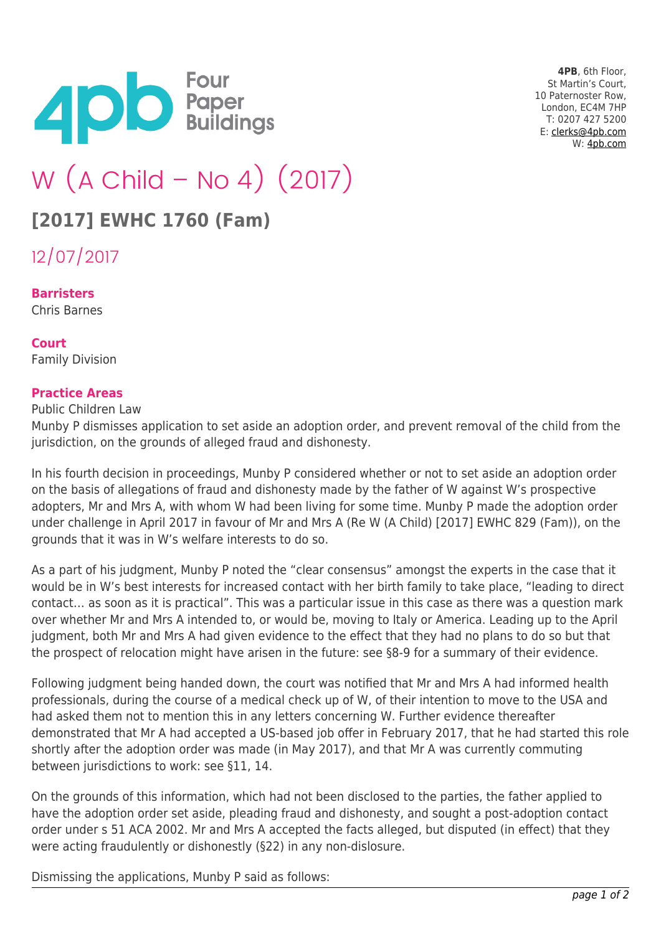

**4PB**, 6th Floor, St Martin's Court, 10 Paternoster Row, London, EC4M 7HP T: 0207 427 5200 E: [clerks@4pb.com](mailto:clerks@4pb.com) W: [4pb.com](http://4pb.com)

# W (A Child – No 4) (2017)

# **[2017] EWHC 1760 (Fam)**

12/07/2017

**Barristers** Chris Barnes

#### **Court** Family Division

### **Practice Areas**

Public Children Law

Munby P dismisses application to set aside an adoption order, and prevent removal of the child from the jurisdiction, on the grounds of alleged fraud and dishonesty.

In his fourth decision in proceedings, Munby P considered whether or not to set aside an adoption order on the basis of allegations of fraud and dishonesty made by the father of W against W's prospective adopters, Mr and Mrs A, with whom W had been living for some time. Munby P made the adoption order under challenge in April 2017 in favour of Mr and Mrs A (Re W (A Child) [2017] EWHC 829 (Fam)), on the grounds that it was in W's welfare interests to do so.

As a part of his judgment, Munby P noted the "clear consensus" amongst the experts in the case that it would be in W's best interests for increased contact with her birth family to take place, "leading to direct contact… as soon as it is practical". This was a particular issue in this case as there was a question mark over whether Mr and Mrs A intended to, or would be, moving to Italy or America. Leading up to the April judgment, both Mr and Mrs A had given evidence to the effect that they had no plans to do so but that the prospect of relocation might have arisen in the future: see §8-9 for a summary of their evidence.

Following judgment being handed down, the court was notified that Mr and Mrs A had informed health professionals, during the course of a medical check up of W, of their intention to move to the USA and had asked them not to mention this in any letters concerning W. Further evidence thereafter demonstrated that Mr A had accepted a US-based job offer in February 2017, that he had started this role shortly after the adoption order was made (in May 2017), and that Mr A was currently commuting between jurisdictions to work: see §11, 14.

On the grounds of this information, which had not been disclosed to the parties, the father applied to have the adoption order set aside, pleading fraud and dishonesty, and sought a post-adoption contact order under s 51 ACA 2002. Mr and Mrs A accepted the facts alleged, but disputed (in effect) that they were acting fraudulently or dishonestly (§22) in any non-dislosure.

Dismissing the applications, Munby P said as follows: